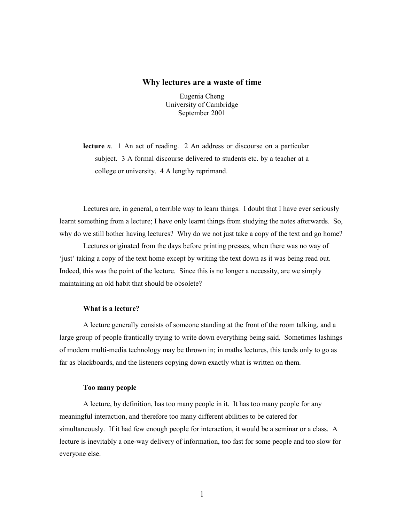### **Why lectures are a waste of time**

Eugenia Cheng University of Cambridge September 2001

**lecture** *n.* 1 An act of reading. 2 An address or discourse on a particular subject. 3 A formal discourse delivered to students etc. by a teacher at a college or university. 4 A lengthy reprimand.

Lectures are, in general, a terrible way to learn things. I doubt that I have ever seriously learnt something from a lecture; I have only learnt things from studying the notes afterwards. So, why do we still bother having lectures? Why do we not just take a copy of the text and go home?

Lectures originated from the days before printing presses, when there was no way of 'just' taking a copy of the text home except by writing the text down as it was being read out. Indeed, this was the point of the lecture. Since this is no longer a necessity, are we simply maintaining an old habit that should be obsolete?

### **What is a lecture?**

A lecture generally consists of someone standing at the front of the room talking, and a large group of people frantically trying to write down everything being said. Sometimes lashings of modern multi-media technology may be thrown in; in maths lectures, this tends only to go as far as blackboards, and the listeners copying down exactly what is written on them.

### **Too many people**

A lecture, by definition, has too many people in it. It has too many people for any meaningful interaction, and therefore too many different abilities to be catered for simultaneously. If it had few enough people for interaction, it would be a seminar or a class. A lecture is inevitably a one-way delivery of information, too fast for some people and too slow for everyone else.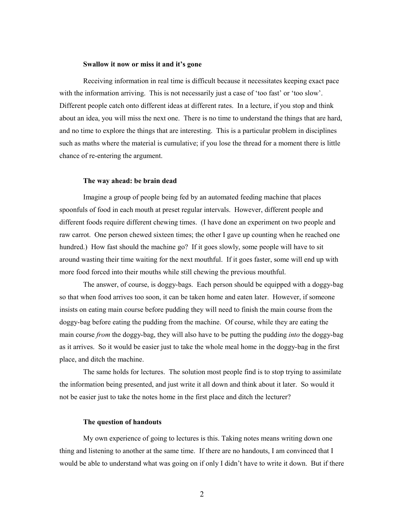### **Swallow it now or miss it and it's gone**

Receiving information in real time is difficult because it necessitates keeping exact pace with the information arriving. This is not necessarily just a case of 'too fast' or 'too slow'. Different people catch onto different ideas at different rates. In a lecture, if you stop and think about an idea, you will miss the next one. There is no time to understand the things that are hard, and no time to explore the things that are interesting. This is a particular problem in disciplines such as maths where the material is cumulative; if you lose the thread for a moment there is little chance of re-entering the argument.

### **The way ahead: be brain dead**

Imagine a group of people being fed by an automated feeding machine that places spoonfuls of food in each mouth at preset regular intervals. However, different people and different foods require different chewing times. (I have done an experiment on two people and raw carrot. One person chewed sixteen times; the other I gave up counting when he reached one hundred.) How fast should the machine go? If it goes slowly, some people will have to sit around wasting their time waiting for the next mouthful. If it goes faster, some will end up with more food forced into their mouths while still chewing the previous mouthful.

The answer, of course, is doggy-bags. Each person should be equipped with a doggy-bag so that when food arrives too soon, it can be taken home and eaten later. However, if someone insists on eating main course before pudding they will need to finish the main course from the doggy-bag before eating the pudding from the machine. Of course, while they are eating the main course *from* the doggy-bag, they will also have to be putting the pudding *into* the doggy-bag as it arrives. So it would be easier just to take the whole meal home in the doggy-bag in the first place, and ditch the machine.

The same holds for lectures. The solution most people find is to stop trying to assimilate the information being presented, and just write it all down and think about it later. So would it not be easier just to take the notes home in the first place and ditch the lecturer?

## **The question of handouts**

My own experience of going to lectures is this. Taking notes means writing down one thing and listening to another at the same time. If there are no handouts, I am convinced that I would be able to understand what was going on if only I didn't have to write it down. But if there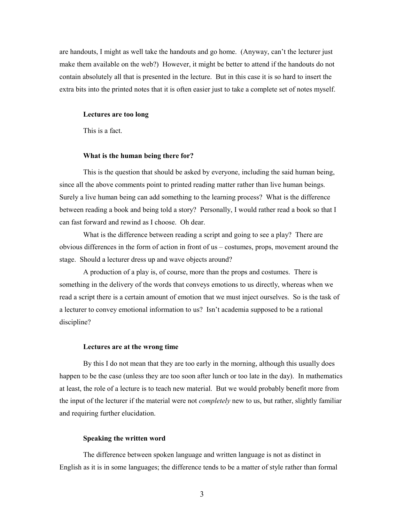are handouts, I might as well take the handouts and go home. (Anyway, can't the lecturer just make them available on the web?) However, it might be better to attend if the handouts do not contain absolutely all that is presented in the lecture. But in this case it is so hard to insert the extra bits into the printed notes that it is often easier just to take a complete set of notes myself.

#### **Lectures are too long**

This is a fact.

### **What is the human being there for?**

This is the question that should be asked by everyone, including the said human being, since all the above comments point to printed reading matter rather than live human beings. Surely a live human being can add something to the learning process? What is the difference between reading a book and being told a story? Personally, I would rather read a book so that I can fast forward and rewind as I choose. Oh dear.

What is the difference between reading a script and going to see a play? There are obvious differences in the form of action in front of us – costumes, props, movement around the stage. Should a lecturer dress up and wave objects around?

A production of a play is, of course, more than the props and costumes. There is something in the delivery of the words that conveys emotions to us directly, whereas when we read a script there is a certain amount of emotion that we must inject ourselves. So is the task of a lecturer to convey emotional information to us? Isn't academia supposed to be a rational discipline?

### **Lectures are at the wrong time**

By this I do not mean that they are too early in the morning, although this usually does happen to be the case (unless they are too soon after lunch or too late in the day). In mathematics at least, the role of a lecture is to teach new material. But we would probably benefit more from the input of the lecturer if the material were not *completely* new to us, but rather, slightly familiar and requiring further elucidation.

### **Speaking the written word**

The difference between spoken language and written language is not as distinct in English as it is in some languages; the difference tends to be a matter of style rather than formal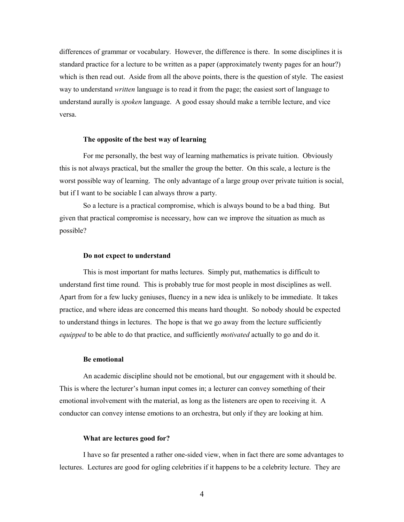differences of grammar or vocabulary. However, the difference is there. In some disciplines it is standard practice for a lecture to be written as a paper (approximately twenty pages for an hour?) which is then read out. Aside from all the above points, there is the question of style. The easiest way to understand *written* language is to read it from the page; the easiest sort of language to understand aurally is *spoken* language. A good essay should make a terrible lecture, and vice versa.

### **The opposite of the best way of learning**

For me personally, the best way of learning mathematics is private tuition. Obviously this is not always practical, but the smaller the group the better. On this scale, a lecture is the worst possible way of learning. The only advantage of a large group over private tuition is social, but if I want to be sociable I can always throw a party.

So a lecture is a practical compromise, which is always bound to be a bad thing. But given that practical compromise is necessary, how can we improve the situation as much as possible?

#### **Do not expect to understand**

This is most important for maths lectures. Simply put, mathematics is difficult to understand first time round. This is probably true for most people in most disciplines as well. Apart from for a few lucky geniuses, fluency in a new idea is unlikely to be immediate. It takes practice, and where ideas are concerned this means hard thought. So nobody should be expected to understand things in lectures. The hope is that we go away from the lecture sufficiently *equipped* to be able to do that practice, and sufficiently *motivated* actually to go and do it.

### **Be emotional**

An academic discipline should not be emotional, but our engagement with it should be. This is where the lecturer's human input comes in; a lecturer can convey something of their emotional involvement with the material, as long as the listeners are open to receiving it. A conductor can convey intense emotions to an orchestra, but only if they are looking at him.

### **What are lectures good for?**

I have so far presented a rather one-sided view, when in fact there are some advantages to lectures. Lectures are good for ogling celebrities if it happens to be a celebrity lecture. They are